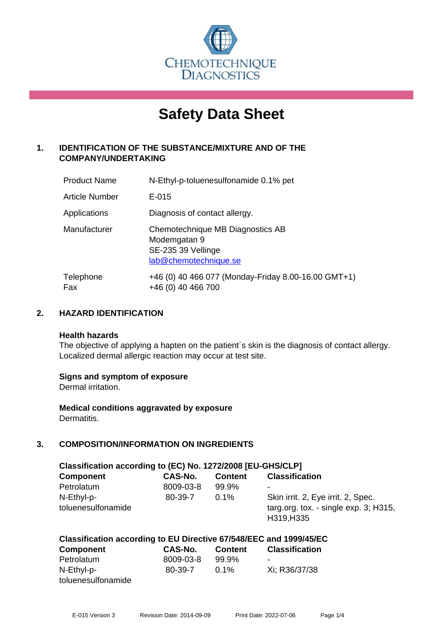

# **Safety Data Sheet**

# **1. IDENTIFICATION OF THE SUBSTANCE/MIXTURE AND OF THE COMPANY/UNDERTAKING**

| <b>Product Name</b> | N-Ethyl-p-toluenesulfonamide 0.1% pet                                                           |
|---------------------|-------------------------------------------------------------------------------------------------|
| Article Number      | $E-015$                                                                                         |
| Applications        | Diagnosis of contact allergy.                                                                   |
| Manufacturer        | Chemotechnique MB Diagnostics AB<br>Modemgatan 9<br>SE-235 39 Vellinge<br>lab@chemotechnique.se |
| Telephone<br>Fax    | +46 (0) 40 466 077 (Monday-Friday 8.00-16.00 GMT+1)<br>+46 (0) 40 466 700                       |

# **2. HAZARD IDENTIFICATION**

#### **Health hazards**

The objective of applying a hapten on the patient's skin is the diagnosis of contact allergy. Localized dermal allergic reaction may occur at test site.

#### **Signs and symptom of exposure**

Dermal irritation.

**Medical conditions aggravated by exposure** Dermatitis.

# **3. COMPOSITION/INFORMATION ON INGREDIENTS**

| Classification according to (EC) No. 1272/2008 [EU-GHS/CLP] |           |                |                                                        |  |
|-------------------------------------------------------------|-----------|----------------|--------------------------------------------------------|--|
| <b>Component</b>                                            | CAS-No.   | <b>Content</b> | <b>Classification</b>                                  |  |
| Petrolatum                                                  | 8009-03-8 | 99.9%          | ۰                                                      |  |
| N-Ethyl-p-                                                  | 80-39-7   | $0.1\%$        | Skin irrit. 2, Eye irrit. 2, Spec.                     |  |
| toluenesulfonamide                                          |           |                | targ.org. tox. - single $exp. 3$ ; H315,<br>H319, H335 |  |

# **Classification according to EU Directive 67/548/EEC and 1999/45/EC**

| <b>Component</b>   | CAS-No.   | <b>Content</b> | <b>Classification</b> |
|--------------------|-----------|----------------|-----------------------|
| Petrolatum         | 8009-03-8 | 99.9%          | -                     |
| N-Ethyl-p-         | 80-39-7   | $0.1\%$        | Xi: R36/37/38         |
| toluenesulfonamide |           |                |                       |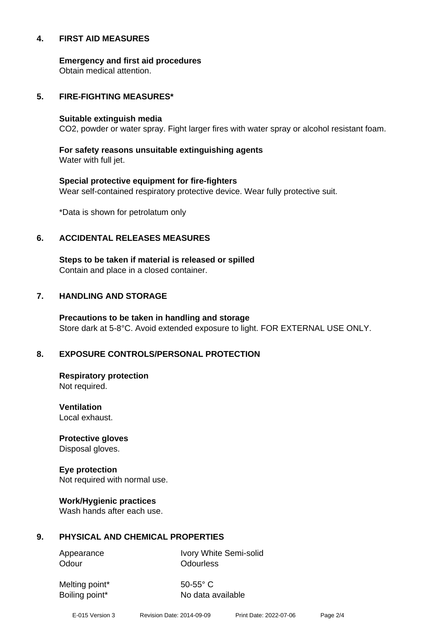#### **4. FIRST AID MEASURES**

**Emergency and first aid procedures**

Obtain medical attention.

#### **5. FIRE-FIGHTING MEASURES\***

#### **Suitable extinguish media**

CO2, powder or water spray. Fight larger fires with water spray or alcohol resistant foam.

# **For safety reasons unsuitable extinguishing agents**

Water with full jet.

# **Special protective equipment for fire-fighters** Wear self-contained respiratory protective device. Wear fully protective suit.

\*Data is shown for petrolatum only

# **6. ACCIDENTAL RELEASES MEASURES**

**Steps to be taken if material is released or spilled** Contain and place in a closed container.

# **7. HANDLING AND STORAGE**

**Precautions to be taken in handling and storage** Store dark at 5-8°C. Avoid extended exposure to light. FOR EXTERNAL USE ONLY.

# **8. EXPOSURE CONTROLS/PERSONAL PROTECTION**

**Respiratory protection** Not required.

**Ventilation** Local exhaust.

**Protective gloves** Disposal gloves.

# **Eye protection**

Not required with normal use.

#### **Work/Hygienic practices**

Wash hands after each use.

#### **9. PHYSICAL AND CHEMICAL PROPERTIES**

Odour **Odourless** 

Appearance Ivory White Semi-solid

Melting point\* 50-55° C

Boiling point\* No data available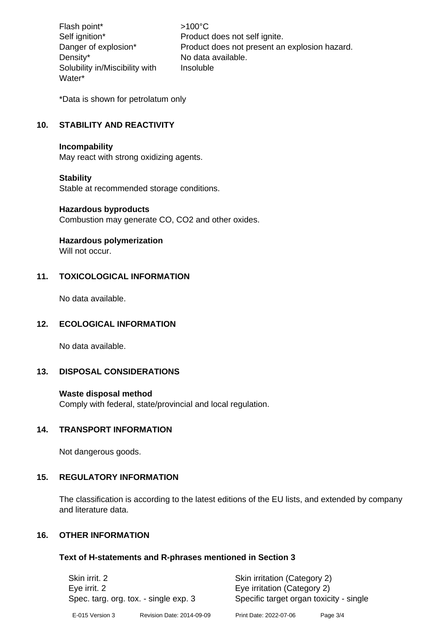Flash point\*  $>100^{\circ}$ C Density\* No data available. Solubility in/Miscibility with Water\*

Self ignition\* Product does not self ignite. Danger of explosion\* Product does not present an explosion hazard. Insoluble

\*Data is shown for petrolatum only

# **10. STABILITY AND REACTIVITY**

#### **Incompability**

May react with strong oxidizing agents.

#### **Stability**

Stable at recommended storage conditions.

#### **Hazardous byproducts**

Combustion may generate CO, CO2 and other oxides.

#### **Hazardous polymerization**

Will not occur.

# **11. TOXICOLOGICAL INFORMATION**

No data available.

#### **12. ECOLOGICAL INFORMATION**

No data available.

#### **13. DISPOSAL CONSIDERATIONS**

#### **Waste disposal method**

Comply with federal, state/provincial and local regulation.

#### **14. TRANSPORT INFORMATION**

Not dangerous goods.

#### **15. REGULATORY INFORMATION**

The classification is according to the latest editions of the EU lists, and extended by company and literature data.

# **16. OTHER INFORMATION**

#### **Text of H-statements and R-phrases mentioned in Section 3**

| Skin irrit, 2<br>Eye irrit. 2<br>Spec. targ. org. tox. - single exp. 3 |                           | Skin irritation (Category 2)<br>Eye irritation (Category 2)<br>Specific target organ toxicity - single |          |
|------------------------------------------------------------------------|---------------------------|--------------------------------------------------------------------------------------------------------|----------|
| E-015 Version 3                                                        | Revision Date: 2014-09-09 | Print Date: 2022-07-06                                                                                 | Page 3/4 |